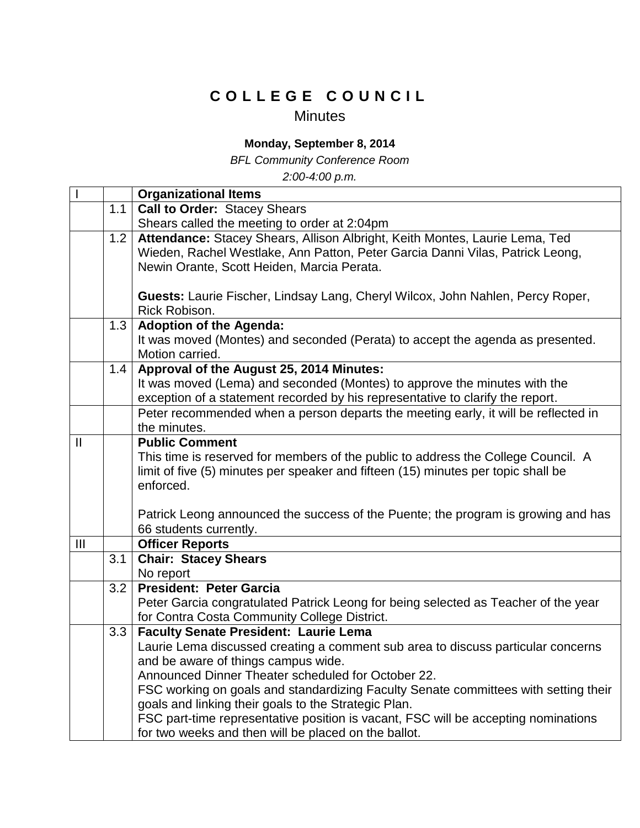## **C O L L E G E C O U N C I L**

## Minutes

## **Monday, September 8, 2014**

*BFL Community Conference Room*

*2:00-4:00 p.m.*

|                        |     | <b>Organizational Items</b>                                                                    |
|------------------------|-----|------------------------------------------------------------------------------------------------|
|                        | 1.1 | <b>Call to Order: Stacey Shears</b>                                                            |
|                        |     | Shears called the meeting to order at 2:04pm                                                   |
|                        | 1.2 | Attendance: Stacey Shears, Allison Albright, Keith Montes, Laurie Lema, Ted                    |
|                        |     | Wieden, Rachel Westlake, Ann Patton, Peter Garcia Danni Vilas, Patrick Leong,                  |
|                        |     | Newin Orante, Scott Heiden, Marcia Perata.                                                     |
|                        |     |                                                                                                |
|                        |     | Guests: Laurie Fischer, Lindsay Lang, Cheryl Wilcox, John Nahlen, Percy Roper,                 |
|                        |     | Rick Robison.                                                                                  |
|                        | 1.3 | <b>Adoption of the Agenda:</b>                                                                 |
|                        |     | It was moved (Montes) and seconded (Perata) to accept the agenda as presented.                 |
|                        |     | Motion carried.                                                                                |
|                        | 1.4 | Approval of the August 25, 2014 Minutes:                                                       |
|                        |     | It was moved (Lema) and seconded (Montes) to approve the minutes with the                      |
|                        |     | exception of a statement recorded by his representative to clarify the report.                 |
|                        |     | Peter recommended when a person departs the meeting early, it will be reflected in             |
|                        |     | the minutes.                                                                                   |
| $\mathbf{\mathsf{II}}$ |     | <b>Public Comment</b>                                                                          |
|                        |     | This time is reserved for members of the public to address the College Council. A              |
|                        |     | limit of five (5) minutes per speaker and fifteen (15) minutes per topic shall be<br>enforced. |
|                        |     |                                                                                                |
|                        |     | Patrick Leong announced the success of the Puente; the program is growing and has              |
|                        |     | 66 students currently.                                                                         |
| III                    |     | <b>Officer Reports</b>                                                                         |
|                        | 3.1 | <b>Chair: Stacey Shears</b>                                                                    |
|                        |     | No report                                                                                      |
|                        | 3.2 | President: Peter Garcia                                                                        |
|                        |     | Peter Garcia congratulated Patrick Leong for being selected as Teacher of the year             |
|                        |     | for Contra Costa Community College District.                                                   |
|                        | 3.3 | <b>Faculty Senate President: Laurie Lema</b>                                                   |
|                        |     | Laurie Lema discussed creating a comment sub area to discuss particular concerns               |
|                        |     | and be aware of things campus wide.                                                            |
|                        |     | Announced Dinner Theater scheduled for October 22.                                             |
|                        |     | FSC working on goals and standardizing Faculty Senate committees with setting their            |
|                        |     | goals and linking their goals to the Strategic Plan.                                           |
|                        |     | FSC part-time representative position is vacant, FSC will be accepting nominations             |
|                        |     | for two weeks and then will be placed on the ballot.                                           |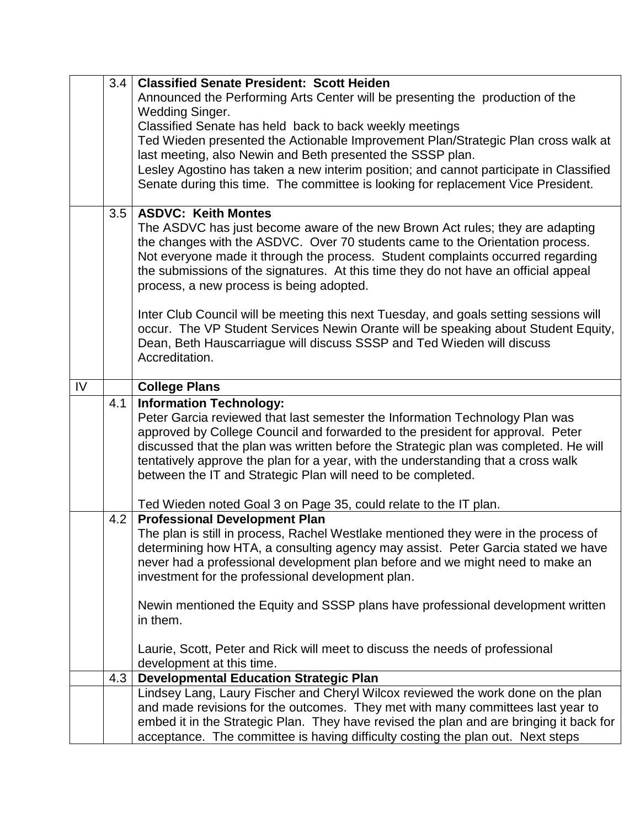|    | 3.4 | <b>Classified Senate President: Scott Heiden</b>                                        |
|----|-----|-----------------------------------------------------------------------------------------|
|    |     | Announced the Performing Arts Center will be presenting the production of the           |
|    |     | Wedding Singer.                                                                         |
|    |     | Classified Senate has held back to back weekly meetings                                 |
|    |     | Ted Wieden presented the Actionable Improvement Plan/Strategic Plan cross walk at       |
|    |     | last meeting, also Newin and Beth presented the SSSP plan.                              |
|    |     | Lesley Agostino has taken a new interim position; and cannot participate in Classified  |
|    |     | Senate during this time. The committee is looking for replacement Vice President.       |
|    |     |                                                                                         |
|    | 3.5 | <b>ASDVC: Keith Montes</b>                                                              |
|    |     | The ASDVC has just become aware of the new Brown Act rules; they are adapting           |
|    |     | the changes with the ASDVC. Over 70 students came to the Orientation process.           |
|    |     | Not everyone made it through the process. Student complaints occurred regarding         |
|    |     | the submissions of the signatures. At this time they do not have an official appeal     |
|    |     | process, a new process is being adopted.                                                |
|    |     |                                                                                         |
|    |     | Inter Club Council will be meeting this next Tuesday, and goals setting sessions will   |
|    |     | occur. The VP Student Services Newin Orante will be speaking about Student Equity,      |
|    |     | Dean, Beth Hauscarriague will discuss SSSP and Ted Wieden will discuss                  |
|    |     | Accreditation.                                                                          |
|    |     |                                                                                         |
| IV |     | <b>College Plans</b>                                                                    |
|    | 4.1 | <b>Information Technology:</b>                                                          |
|    |     | Peter Garcia reviewed that last semester the Information Technology Plan was            |
|    |     | approved by College Council and forwarded to the president for approval. Peter          |
|    |     | discussed that the plan was written before the Strategic plan was completed. He will    |
|    |     | tentatively approve the plan for a year, with the understanding that a cross walk       |
|    |     | between the IT and Strategic Plan will need to be completed.                            |
|    |     |                                                                                         |
|    |     | Ted Wieden noted Goal 3 on Page 35, could relate to the IT plan.                        |
|    | 4.2 | <b>Professional Development Plan</b>                                                    |
|    |     | The plan is still in process, Rachel Westlake mentioned they were in the process of     |
|    |     | determining how HTA, a consulting agency may assist. Peter Garcia stated we have        |
|    |     | never had a professional development plan before and we might need to make an           |
|    |     | investment for the professional development plan.                                       |
|    |     | Newin mentioned the Equity and SSSP plans have professional development written         |
|    |     | in them.                                                                                |
|    |     |                                                                                         |
|    |     | Laurie, Scott, Peter and Rick will meet to discuss the needs of professional            |
|    |     | development at this time.                                                               |
|    | 4.3 | <b>Developmental Education Strategic Plan</b>                                           |
|    |     | Lindsey Lang, Laury Fischer and Cheryl Wilcox reviewed the work done on the plan        |
|    |     | and made revisions for the outcomes. They met with many committees last year to         |
|    |     | embed it in the Strategic Plan. They have revised the plan and are bringing it back for |
|    |     | acceptance. The committee is having difficulty costing the plan out. Next steps         |